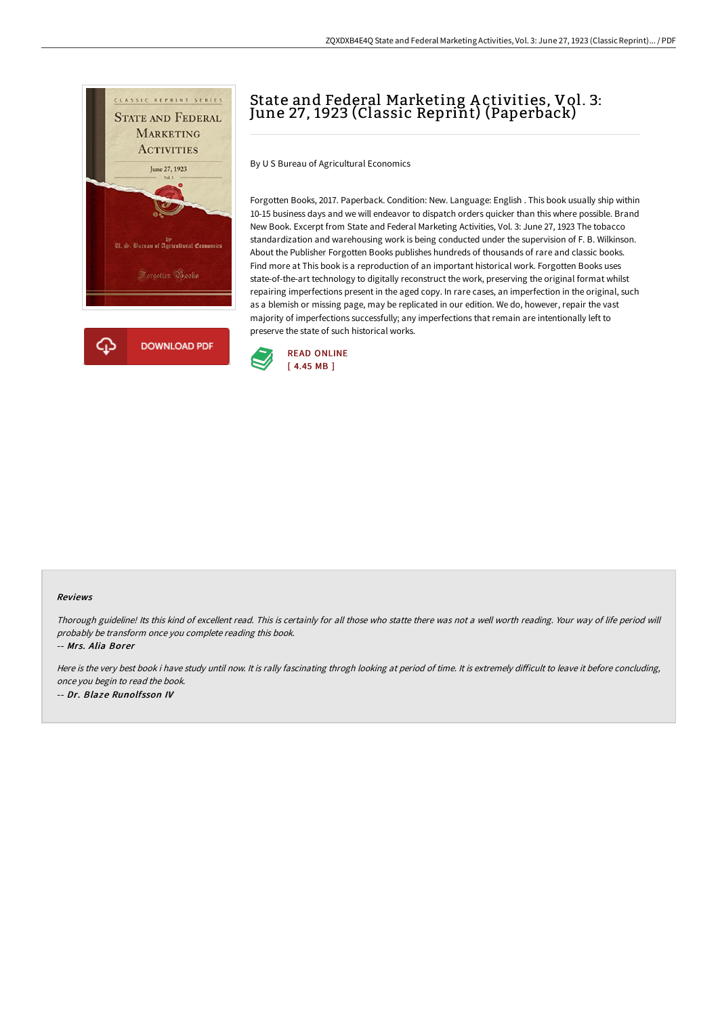

## State and Federal Marketing A ctivities, Vol. 3: June 27, 1923 (Classic Reprint) (Paperback)

By U S Bureau of Agricultural Economics

Forgotten Books, 2017. Paperback. Condition: New. Language: English . This book usually ship within 10-15 business days and we will endeavor to dispatch orders quicker than this where possible. Brand New Book. Excerpt from State and Federal Marketing Activities, Vol. 3: June 27, 1923 The tobacco standardization and warehousing work is being conducted under the supervision of F. B. Wilkinson. About the Publisher Forgotten Books publishes hundreds of thousands of rare and classic books. Find more at This book is a reproduction of an important historical work. Forgotten Books uses state-of-the-art technology to digitally reconstruct the work, preserving the original format whilst repairing imperfections present in the aged copy. In rare cases, an imperfection in the original, such as a blemish or missing page, may be replicated in our edition. We do, however, repair the vast majority of imperfections successfully; any imperfections that remain are intentionally left to preserve the state of such historical works.



## Reviews

Thorough guideline! Its this kind of excellent read. This is certainly for all those who statte there was not <sup>a</sup> well worth reading. Your way of life period will probably be transform once you complete reading this book.

-- Mrs. Alia Borer

Here is the very best book i have study until now. It is rally fascinating throgh looking at period of time. It is extremely difficult to leave it before concluding, once you begin to read the book. -- Dr. Blaze Runolfsson IV